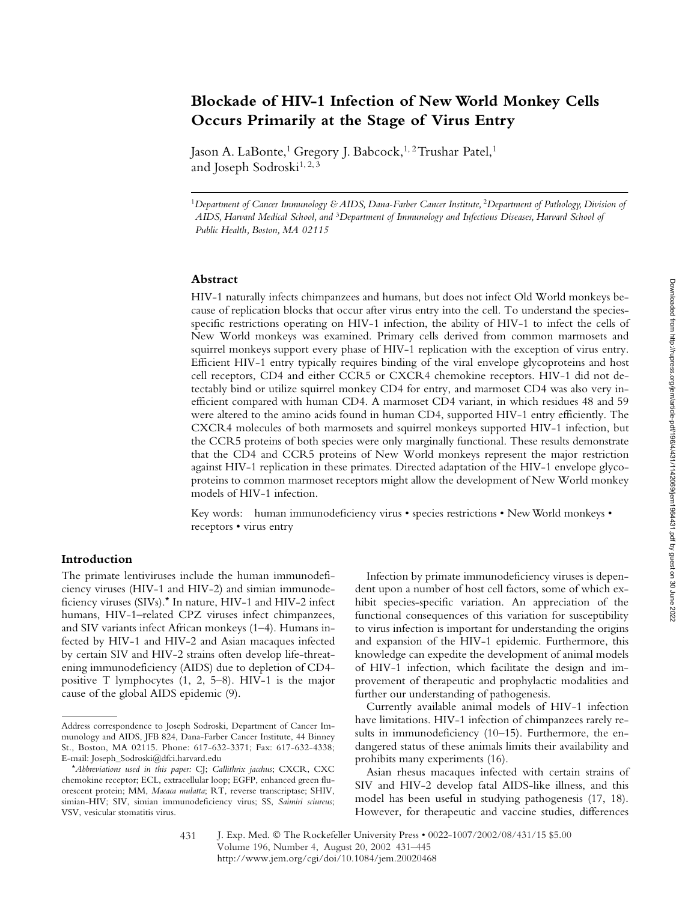# **Blockade of HIV-1 Infection of New World Monkey Cells Occurs Primarily at the Stage of Virus Entry**

Jason A. LaBonte,<sup>1</sup> Gregory J. Babcock,<sup>1,2</sup> Trushar Patel,<sup>1</sup> and Joseph Sodroski<sup>1, 2, 3</sup>

<sup>1</sup>*Department of Cancer Immunology & AIDS, Dana-Farber Cancer Institute,* <sup>2</sup>*Department of Pathology, Division of AIDS, Harvard Medical School, and* <sup>3</sup>*Department of Immunology and Infectious Diseases, Harvard School of Public Health, Boston, MA 02115*

## **Abstract**

HIV-1 naturally infects chimpanzees and humans, but does not infect Old World monkeys because of replication blocks that occur after virus entry into the cell. To understand the speciesspecific restrictions operating on HIV-1 infection, the ability of HIV-1 to infect the cells of New World monkeys was examined. Primary cells derived from common marmosets and squirrel monkeys support every phase of HIV-1 replication with the exception of virus entry. Efficient HIV-1 entry typically requires binding of the viral envelope glycoproteins and host cell receptors, CD4 and either CCR5 or CXCR4 chemokine receptors. HIV-1 did not detectably bind or utilize squirrel monkey CD4 for entry, and marmoset CD4 was also very inefficient compared with human CD4. A marmoset CD4 variant, in which residues 48 and 59 were altered to the amino acids found in human CD4, supported HIV-1 entry efficiently. The CXCR4 molecules of both marmosets and squirrel monkeys supported HIV-1 infection, but the CCR5 proteins of both species were only marginally functional. These results demonstrate that the CD4 and CCR5 proteins of New World monkeys represent the major restriction against HIV-1 replication in these primates. Directed adaptation of the HIV-1 envelope glycoproteins to common marmoset receptors might allow the development of New World monkey models of HIV-1 infection.

Key words: human immunodeficiency virus • species restrictions • New World monkeys • receptors • virus entry

#### **Introduction**

The primate lentiviruses include the human immunodeficiency viruses (HIV-1 and HIV-2) and simian immunodeficiency viruses (SIVs).\* In nature, HIV-1 and HIV-2 infect humans, HIV-1–related CPZ viruses infect chimpanzees, and SIV variants infect African monkeys (1–4). Humans infected by HIV-1 and HIV-2 and Asian macaques infected by certain SIV and HIV-2 strains often develop life-threatening immunodeficiency (AIDS) due to depletion of CD4 positive T lymphocytes (1, 2, 5–8). HIV-1 is the major cause of the global AIDS epidemic (9).

Infection by primate immunodeficiency viruses is dependent upon a number of host cell factors, some of which exhibit species-specific variation. An appreciation of the functional consequences of this variation for susceptibility to virus infection is important for understanding the origins and expansion of the HIV-1 epidemic. Furthermore, this knowledge can expedite the development of animal models of HIV-1 infection, which facilitate the design and improvement of therapeutic and prophylactic modalities and further our understanding of pathogenesis.

Currently available animal models of HIV-1 infection have limitations. HIV-1 infection of chimpanzees rarely results in immunodeficiency (10–15). Furthermore, the endangered status of these animals limits their availability and prohibits many experiments (16).

Asian rhesus macaques infected with certain strains of SIV and HIV-2 develop fatal AIDS-like illness, and this model has been useful in studying pathogenesis (17, 18). However, for therapeutic and vaccine studies, differences

Address correspondence to Joseph Sodroski, Department of Cancer Immunology and AIDS, JFB 824, Dana-Farber Cancer Institute, 44 Binney St., Boston, MA 02115. Phone: 617-632-3371; Fax: 617-632-4338; E-mail: Joseph\_Sodroski@dfci.harvard.edu

<sup>\*</sup>*Abbreviations used in this paper:* CJ; *Callithrix jacchus*; CXCR, CXC chemokine receptor; ECL, extracellular loop; EGFP, enhanced green fluorescent protein; MM, *Macaca mulatta*; RT, reverse transcriptase; SHIV, simian-HIV; SIV, simian immunodeficiency virus; SS, *Saimiri sciureus*; VSV, vesicular stomatitis virus.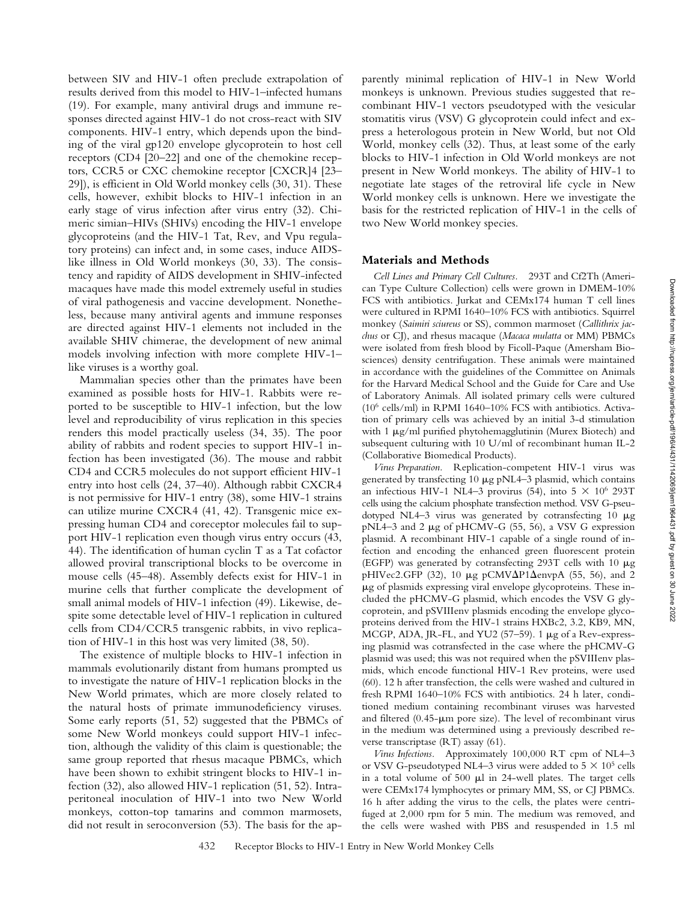between SIV and HIV-1 often preclude extrapolation of results derived from this model to HIV-1–infected humans (19). For example, many antiviral drugs and immune responses directed against HIV-1 do not cross-react with SIV components. HIV-1 entry, which depends upon the binding of the viral gp120 envelope glycoprotein to host cell receptors (CD4 [20–22] and one of the chemokine receptors, CCR5 or CXC chemokine receptor [CXCR]4 [23– 29]), is efficient in Old World monkey cells (30, 31). These cells, however, exhibit blocks to HIV-1 infection in an early stage of virus infection after virus entry (32). Chimeric simian–HIVs (SHIVs) encoding the HIV-1 envelope glycoproteins (and the HIV-1 Tat, Rev, and Vpu regulatory proteins) can infect and, in some cases, induce AIDSlike illness in Old World monkeys (30, 33). The consistency and rapidity of AIDS development in SHIV-infected macaques have made this model extremely useful in studies of viral pathogenesis and vaccine development. Nonetheless, because many antiviral agents and immune responses are directed against HIV-1 elements not included in the available SHIV chimerae, the development of new animal models involving infection with more complete HIV-1– like viruses is a worthy goal.

Mammalian species other than the primates have been examined as possible hosts for HIV-1. Rabbits were reported to be susceptible to HIV-1 infection, but the low level and reproducibility of virus replication in this species renders this model practically useless (34, 35). The poor ability of rabbits and rodent species to support HIV-1 infection has been investigated (36). The mouse and rabbit CD4 and CCR5 molecules do not support efficient HIV-1 entry into host cells (24, 37–40). Although rabbit CXCR4 is not permissive for HIV-1 entry (38), some HIV-1 strains can utilize murine CXCR4 (41, 42). Transgenic mice expressing human CD4 and coreceptor molecules fail to support HIV-1 replication even though virus entry occurs (43, 44). The identification of human cyclin T as a Tat cofactor allowed proviral transcriptional blocks to be overcome in mouse cells (45–48). Assembly defects exist for HIV-1 in murine cells that further complicate the development of small animal models of HIV-1 infection (49). Likewise, despite some detectable level of HIV-1 replication in cultured cells from CD4/CCR5 transgenic rabbits, in vivo replication of HIV-1 in this host was very limited (38, 50).

The existence of multiple blocks to HIV-1 infection in mammals evolutionarily distant from humans prompted us to investigate the nature of HIV-1 replication blocks in the New World primates, which are more closely related to the natural hosts of primate immunodeficiency viruses. Some early reports (51, 52) suggested that the PBMCs of some New World monkeys could support HIV-1 infection, although the validity of this claim is questionable; the same group reported that rhesus macaque PBMCs, which have been shown to exhibit stringent blocks to HIV-1 infection (32), also allowed HIV-1 replication (51, 52). Intraperitoneal inoculation of HIV-1 into two New World monkeys, cotton-top tamarins and common marmosets, did not result in seroconversion (53). The basis for the apparently minimal replication of HIV-1 in New World monkeys is unknown. Previous studies suggested that recombinant HIV-1 vectors pseudotyped with the vesicular stomatitis virus (VSV) G glycoprotein could infect and express a heterologous protein in New World, but not Old World, monkey cells (32). Thus, at least some of the early blocks to HIV-1 infection in Old World monkeys are not present in New World monkeys. The ability of HIV-1 to negotiate late stages of the retroviral life cycle in New World monkey cells is unknown. Here we investigate the basis for the restricted replication of HIV-1 in the cells of two New World monkey species.

## **Materials and Methods**

*Cell Lines and Primary Cell Cultures.* 293T and Cf2Th (American Type Culture Collection) cells were grown in DMEM-10% FCS with antibiotics. Jurkat and CEMx174 human T cell lines were cultured in RPMI 1640–10% FCS with antibiotics. Squirrel monkey (*Saimiri sciureus* or SS), common marmoset (*Callithrix jacchus* or CJ), and rhesus macaque (*Macaca mulatta* or MM) PBMCs were isolated from fresh blood by Ficoll-Paque (Amersham Biosciences) density centrifugation. These animals were maintained in accordance with the guidelines of the Committee on Animals for the Harvard Medical School and the Guide for Care and Use of Laboratory Animals. All isolated primary cells were cultured (106 cells/ml) in RPMI 1640–10% FCS with antibiotics. Activation of primary cells was achieved by an initial 3-d stimulation with 1 µg/ml purified phytohemagglutinin (Murex Biotech) and subsequent culturing with 10 U/ml of recombinant human IL-2 (Collaborative Biomedical Products).

*Virus Preparation.* Replication-competent HIV-1 virus was generated by transfecting 10 µg pNL4-3 plasmid, which contains an infectious HIV-1 NL4-3 provirus (54), into 5  $\times$  10<sup>6</sup> 293T cells using the calcium phosphate transfection method. VSV G-pseudotyped NL4-3 virus was generated by cotransfecting  $10 \mu$ g pNL4–3 and 2 µg of pHCMV-G (55, 56), a VSV G expression plasmid. A recombinant HIV-1 capable of a single round of infection and encoding the enhanced green fluorescent protein (EGFP) was generated by cotransfecting 293T cells with 10  $\mu$ g pHIVec2.GFP (32), 10  $\mu$ g pCMV $\Delta$ P1 $\Delta$ envpA (55, 56), and 2 -g of plasmids expressing viral envelope glycoproteins. These included the pHCMV-G plasmid, which encodes the VSV G glycoprotein, and pSVIIIenv plasmids encoding the envelope glycoproteins derived from the HIV-1 strains HXBc2, 3.2, KB9, MN, MCGP, ADA, JR-FL, and YU2 (57-59). 1 µg of a Rev-expressing plasmid was cotransfected in the case where the pHCMV-G plasmid was used; this was not required when the pSVIIIenv plasmids, which encode functional HIV-1 Rev proteins, were used (60). 12 h after transfection, the cells were washed and cultured in fresh RPMI 1640–10% FCS with antibiotics. 24 h later, conditioned medium containing recombinant viruses was harvested and filtered (0.45- $\mu$ m pore size). The level of recombinant virus in the medium was determined using a previously described reverse transcriptase (RT) assay (61).

*Virus Infections.* Approximately 100,000 RT cpm of NL4–3 or VSV G-pseudotyped NL4–3 virus were added to  $5 \times 10^5$  cells in a total volume of  $500$   $\mu$ l in 24-well plates. The target cells were CEMx174 lymphocytes or primary MM, SS, or CJ PBMCs. 16 h after adding the virus to the cells, the plates were centrifuged at 2,000 rpm for 5 min. The medium was removed, and the cells were washed with PBS and resuspended in 1.5 ml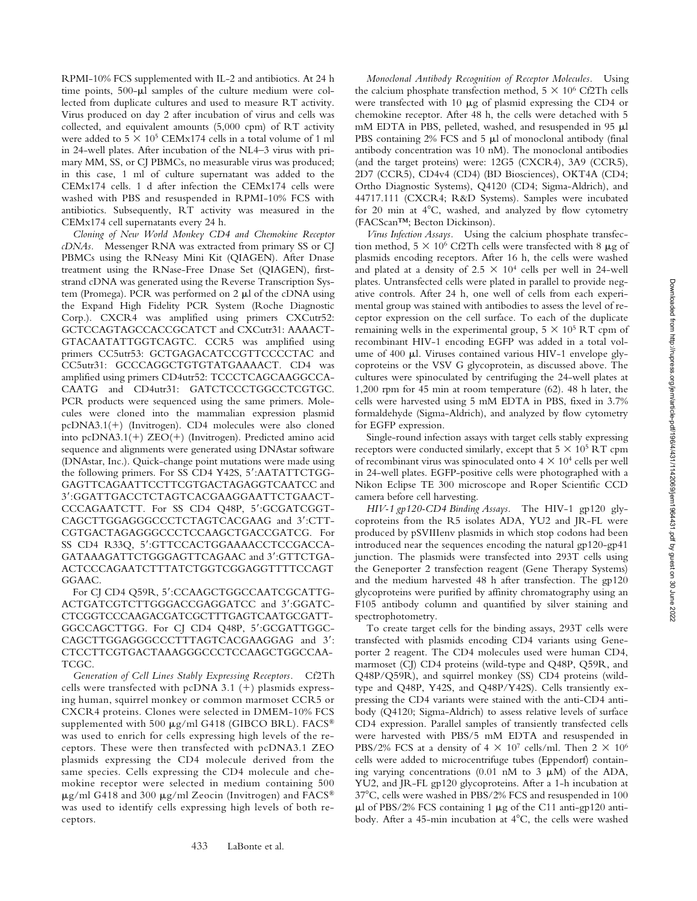RPMI-10% FCS supplemented with IL-2 and antibiotics. At 24 h time points, 500- $\mu$ l samples of the culture medium were collected from duplicate cultures and used to measure RT activity. Virus produced on day 2 after incubation of virus and cells was collected, and equivalent amounts (5,000 cpm) of RT activity were added to  $5 \times 10^5$  CEMx174 cells in a total volume of 1 ml in 24-well plates. After incubation of the NL4–3 virus with primary MM, SS, or CJ PBMCs, no measurable virus was produced; in this case, 1 ml of culture supernatant was added to the CEMx174 cells. 1 d after infection the CEMx174 cells were washed with PBS and resuspended in RPMI-10% FCS with antibiotics. Subsequently, RT activity was measured in the CEMx174 cell supernatants every 24 h.

*Cloning of New World Monkey CD4 and Chemokine Receptor cDNAs.* Messenger RNA was extracted from primary SS or CJ PBMCs using the RNeasy Mini Kit (QIAGEN). After Dnase treatment using the RNase-Free Dnase Set (QIAGEN), firststrand cDNA was generated using the Reverse Transcription System (Promega). PCR was performed on 2  $\mu$ l of the cDNA using the Expand High Fidelity PCR System (Roche Diagnostic Corp.). CXCR4 was amplified using primers CXCutr52: GCTCCAGTAGCCACCGCATCT and CXCutr31: AAAACT-GTACAATATTGGTCAGTC. CCR5 was amplified using primers CC5utr53: GCTGAGACATCCGTTCCCCTAC and CC5utr31: GCCCAGGCTGTGTATGAAAACT. CD4 was amplified using primers CD4utr52: TCCCTCAGCAAGGCCA-CAATG and CD4utr31: GATCTCCCTGGCCTCGTGC. PCR products were sequenced using the same primers. Molecules were cloned into the mammalian expression plasmid pcDNA3.1(+) (Invitrogen). CD4 molecules were also cloned into pcDNA3.1(+) ZEO(+) (Invitrogen). Predicted amino acid sequence and alignments were generated using DNAstar software (DNAstar, Inc.). Quick-change point mutations were made using the following primers. For SS CD4 Y42S, 5':AATATTCTGG-GAGTTCAGAATTCCTTCGTGACTAGAGGTCAATCC and 3:GGATTGACCTCTAGTCACGAAGGAATTCTGAACT-CCCAGAATCTT. For SS CD4 Q48P, 5':GCGATCGGT-CAGCTTGGAGGGCCCTCTAGTCACGAAG and 3':CTT-CGTGACTAGAGGGCCCTCCAAGCTGACCGATCG. For SS CD4 R33Q, 5':GTTCCACTGGAAAACCTCCGACCA-GATAAAGATTCTGGGAGTTCAGAAC and 3':GTTCTGA-ACTCCCAGAATCTTTATCTGGTCGGAGGTTTTCCAGT GGAAC.

For CJ CD4 Q59R, 5':CCAAGCTGGCCAATCGCATTG-ACTGATCGTCTTGGGACCGAGGATCC and 3':GGATC-CTCGGTCCCAAGACGATCGCTTTGAGTCAATGCGATT-GGCCAGCTTGG. For CJ CD4 Q48P, 5':GCGATTGGC-CAGCTTGGAGGGCCCTTTAGTCACGAAGGAG and 3': CTCCTTCGTGACTAAAGGGCCCTCCAAGCTGGCCAA-TCGC.

*Generation of Cell Lines Stably Expressing Receptors.* Cf2Th cells were transfected with pcDNA 3.1  $(+)$  plasmids expressing human, squirrel monkey or common marmoset CCR5 or CXCR4 proteins. Clones were selected in DMEM-10% FCS supplemented with 500  $\mu$ g/ml G418 (GIBCO BRL). FACS® was used to enrich for cells expressing high levels of the receptors. These were then transfected with pcDNA3.1 ZEO plasmids expressing the CD4 molecule derived from the same species. Cells expressing the CD4 molecule and chemokine receptor were selected in medium containing 500  $\mu$ g/ml G418 and 300  $\mu$ g/ml Zeocin (Invitrogen) and FACS® was used to identify cells expressing high levels of both receptors.

433 LaBonte et al.

*Monoclonal Antibody Recognition of Receptor Molecules.* Using the calcium phosphate transfection method,  $5 \times 10^6$  Cf2Th cells were transfected with 10  $\mu$ g of plasmid expressing the CD4 or chemokine receptor. After 48 h, the cells were detached with 5 mM EDTA in PBS, pelleted, washed, and resuspended in 95  $\mu$ l PBS containing  $2\%$  FCS and  $5 \mu l$  of monoclonal antibody (final antibody concentration was 10 nM). The monoclonal antibodies (and the target proteins) were: 12G5 (CXCR4), 3A9 (CCR5), 2D7 (CCR5), CD4v4 (CD4) (BD Biosciences), OKT4A (CD4; Ortho Diagnostic Systems), Q4120 (CD4; Sigma-Aldrich), and 44717.111 (CXCR4; R&D Systems). Samples were incubated for 20 min at  $4^{\circ}$ C, washed, and analyzed by flow cytometry (FACScan™; Becton Dickinson).

*Virus Infection Assays.* Using the calcium phosphate transfection method,  $5 \times 10^6$  Cf2Th cells were transfected with 8  $\mu$ g of plasmids encoding receptors. After 16 h, the cells were washed and plated at a density of  $2.5 \times 10^4$  cells per well in 24-well plates. Untransfected cells were plated in parallel to provide negative controls. After 24 h, one well of cells from each experimental group was stained with antibodies to assess the level of receptor expression on the cell surface. To each of the duplicate remaining wells in the experimental group,  $5 \times 10^5$  RT cpm of recombinant HIV-1 encoding EGFP was added in a total volume of 400 µl. Viruses contained various HIV-1 envelope glycoproteins or the VSV G glycoprotein, as discussed above. The cultures were spinoculated by centrifuging the 24-well plates at 1,200 rpm for 45 min at room temperature (62). 48 h later, the cells were harvested using 5 mM EDTA in PBS, fixed in 3.7% formaldehyde (Sigma-Aldrich), and analyzed by flow cytometry for EGFP expression.

Single-round infection assays with target cells stably expressing receptors were conducted similarly, except that  $5 \times 10^5$  RT cpm of recombinant virus was spinoculated onto  $4 \times 10^4$  cells per well in 24-well plates. EGFP-positive cells were photographed with a Nikon Eclipse TE 300 microscope and Roper Scientific CCD camera before cell harvesting.

*HIV-1 gp120-CD4 Binding Assays.* The HIV-1 gp120 glycoproteins from the R5 isolates ADA, YU2 and JR-FL were produced by pSVIIIenv plasmids in which stop codons had been introduced near the sequences encoding the natural gp120-gp41 junction. The plasmids were transfected into 293T cells using the Geneporter 2 transfection reagent (Gene Therapy Systems) and the medium harvested 48 h after transfection. The gp120 glycoproteins were purified by affinity chromatography using an F105 antibody column and quantified by silver staining and spectrophotometry.

To create target cells for the binding assays, 293T cells were transfected with plasmids encoding CD4 variants using Geneporter 2 reagent. The CD4 molecules used were human CD4, marmoset (CJ) CD4 proteins (wild-type and Q48P, Q59R, and Q48P/Q59R), and squirrel monkey (SS) CD4 proteins (wildtype and Q48P, Y42S, and Q48P/Y42S). Cells transiently expressing the CD4 variants were stained with the anti-CD4 antibody (Q4120; Sigma-Aldrich) to assess relative levels of surface CD4 expression. Parallel samples of transiently transfected cells were harvested with PBS/5 mM EDTA and resuspended in PBS/2% FCS at a density of  $4 \times 10^7$  cells/ml. Then  $2 \times 10^6$ cells were added to microcentrifuge tubes (Eppendorf) containing varying concentrations (0.01 nM to 3  $\mu$ M) of the ADA, YU2, and JR-FL gp120 glycoproteins. After a 1-h incubation at 37°C, cells were washed in PBS/2% FCS and resuspended in 100  $\mu$ l of PBS/2% FCS containing 1  $\mu$ g of the C11 anti-gp120 antibody. After a 45-min incubation at  $4^{\circ}C$ , the cells were washed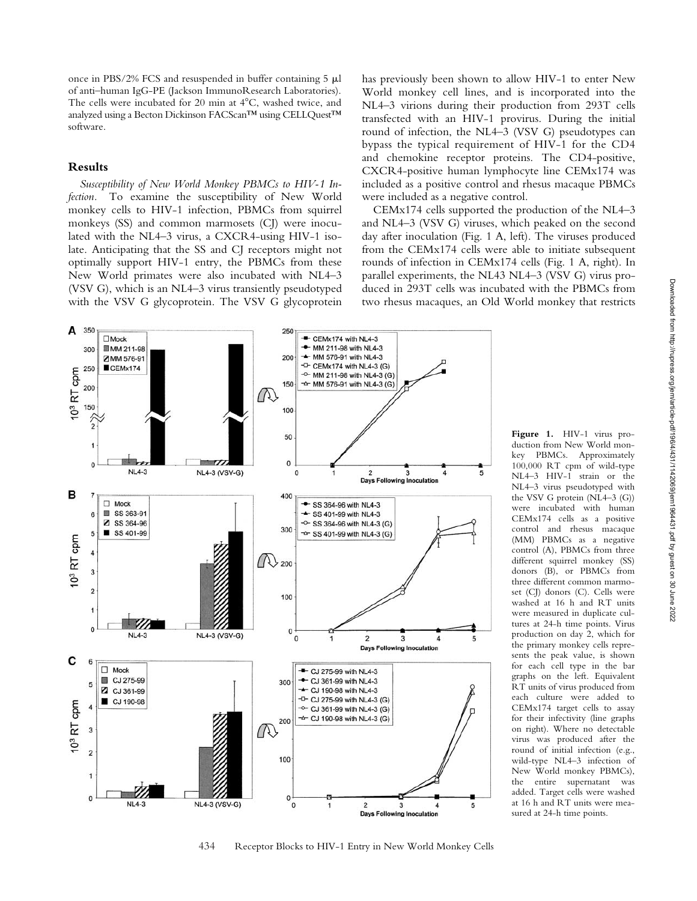once in PBS/2% FCS and resuspended in buffer containing  $5 \mu l$ of anti–human IgG-PE (Jackson ImmunoResearch Laboratories). The cells were incubated for 20 min at  $4^{\circ}$ C, washed twice, and analyzed using a Becton Dickinson FACScan™ using CELLQuest™ software.

#### **Results**

*Susceptibility of New World Monkey PBMCs to HIV-1 Infection.* To examine the susceptibility of New World monkey cells to HIV-1 infection, PBMCs from squirrel monkeys (SS) and common marmosets (CJ) were inoculated with the NL4–3 virus, a CXCR4-using HIV-1 isolate. Anticipating that the SS and CJ receptors might not optimally support HIV-1 entry, the PBMCs from these New World primates were also incubated with NL4–3 (VSV G), which is an NL4–3 virus transiently pseudotyped with the VSV G glycoprotein. The VSV G glycoprotein has previously been shown to allow HIV-1 to enter New World monkey cell lines, and is incorporated into the NL4–3 virions during their production from 293T cells transfected with an HIV-1 provirus. During the initial round of infection, the NL4–3 (VSV G) pseudotypes can bypass the typical requirement of HIV-1 for the CD4 and chemokine receptor proteins. The CD4-positive, CXCR4-positive human lymphocyte line CEMx174 was included as a positive control and rhesus macaque PBMCs were included as a negative control.

CEMx174 cells supported the production of the NL4–3 and NL4–3 (VSV G) viruses, which peaked on the second day after inoculation (Fig. 1 A, left). The viruses produced from the CEMx174 cells were able to initiate subsequent rounds of infection in CEMx174 cells (Fig. 1 A, right). In parallel experiments, the NL43 NL4–3 (VSV G) virus produced in 293T cells was incubated with the PBMCs from two rhesus macaques, an Old World monkey that restricts



**Figure 1.** HIV-1 virus production from New World monkey PBMCs. Approximately 100,000 RT cpm of wild-type NL4–3 HIV-1 strain or the NL4–3 virus pseudotyped with the VSV G protein (NL4–3 (G)) were incubated with human CEMx174 cells as a positive control and rhesus macaque (MM) PBMCs as a negative control (A), PBMCs from three different squirrel monkey (SS) donors (B), or PBMCs from three different common marmoset (CI) donors (C). Cells were washed at 16 h and RT units were measured in duplicate cultures at 24-h time points. Virus production on day 2, which for the primary monkey cells represents the peak value, is shown for each cell type in the bar graphs on the left. Equivalent RT units of virus produced from each culture were added to CEMx174 target cells to assay for their infectivity (line graphs on right). Where no detectable virus was produced after the round of initial infection (e.g., wild-type NL4–3 infection of New World monkey PBMCs), the entire supernatant was added. Target cells were washed at 16 h and RT units were measured at 24-h time points.

434 Receptor Blocks to HIV-1 Entry in New World Monkey Cells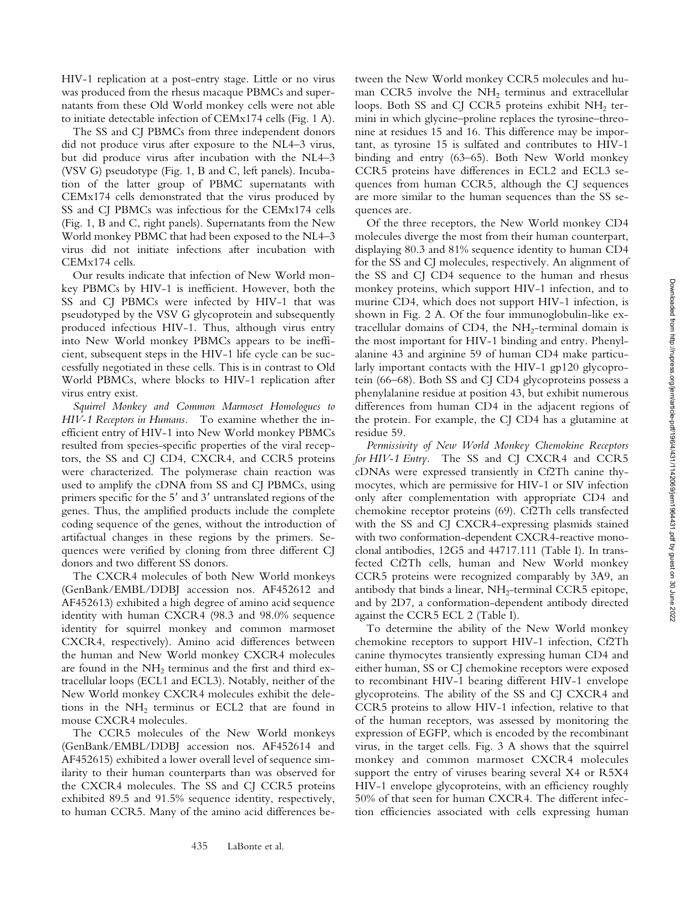HIV-1 replication at a post-entry stage. Little or no virus was produced from the rhesus macaque PBMCs and supernatants from these Old World monkey cells were not able to initiate detectable infection of CEMx174 cells (Fig. 1 A).

The SS and CJ PBMCs from three independent donors did not produce virus after exposure to the NL4–3 virus, but did produce virus after incubation with the NL4–3 (VSV G) pseudotype (Fig. 1, B and C, left panels). Incubation of the latter group of PBMC supernatants with CEMx174 cells demonstrated that the virus produced by SS and CJ PBMCs was infectious for the CEMx174 cells (Fig. 1, B and C, right panels). Supernatants from the New World monkey PBMC that had been exposed to the NL4–3 virus did not initiate infections after incubation with CEMx174 cells.

Our results indicate that infection of New World monkey PBMCs by HIV-1 is inefficient. However, both the SS and CJ PBMCs were infected by HIV-1 that was pseudotyped by the VSV G glycoprotein and subsequently produced infectious HIV-1. Thus, although virus entry into New World monkey PBMCs appears to be inefficient, subsequent steps in the HIV-1 life cycle can be successfully negotiated in these cells. This is in contrast to Old World PBMCs, where blocks to HIV-1 replication after virus entry exist.

*Squirrel Monkey and Common Marmoset Homologues to HIV-1 Receptors in Humans.* To examine whether the inefficient entry of HIV-1 into New World monkey PBMCs resulted from species-specific properties of the viral receptors, the SS and CJ CD4, CXCR4, and CCR5 proteins were characterized. The polymerase chain reaction was used to amplify the cDNA from SS and CJ PBMCs, using primers specific for the  $5'$  and  $3'$  untranslated regions of the genes. Thus, the amplified products include the complete coding sequence of the genes, without the introduction of artifactual changes in these regions by the primers. Sequences were verified by cloning from three different CJ donors and two different SS donors.

The CXCR4 molecules of both New World monkeys (GenBank/EMBL/DDBJ accession nos. AF452612 and AF452613) exhibited a high degree of amino acid sequence identity with human CXCR4 (98.3 and 98.0% sequence identity for squirrel monkey and common marmoset CXCR4, respectively). Amino acid differences between the human and New World monkey CXCR4 molecules are found in the  $NH<sub>2</sub>$  terminus and the first and third extracellular loops (ECL1 and ECL3). Notably, neither of the New World monkey CXCR4 molecules exhibit the deletions in the  $NH<sub>2</sub>$  terminus or ECL2 that are found in mouse CXCR4 molecules.

The CCR5 molecules of the New World monkeys (GenBank/EMBL/DDBJ accession nos. AF452614 and AF452615) exhibited a lower overall level of sequence similarity to their human counterparts than was observed for the CXCR4 molecules. The SS and CJ CCR5 proteins exhibited 89.5 and 91.5% sequence identity, respectively, to human CCR5. Many of the amino acid differences be-

tween the New World monkey CCR5 molecules and human CCR5 involve the NH<sub>2</sub> terminus and extracellular loops. Both SS and CJ CCR5 proteins exhibit NH<sub>2</sub> termini in which glycine–proline replaces the tyrosine–threonine at residues 15 and 16. This difference may be important, as tyrosine 15 is sulfated and contributes to HIV-1 binding and entry (63–65). Both New World monkey CCR5 proteins have differences in ECL2 and ECL3 sequences from human CCR5, although the CJ sequences are more similar to the human sequences than the SS sequences are.

Of the three receptors, the New World monkey CD4 molecules diverge the most from their human counterpart, displaying 80.3 and 81% sequence identity to human CD4 for the SS and CJ molecules, respectively. An alignment of the SS and CJ CD4 sequence to the human and rhesus monkey proteins, which support HIV-1 infection, and to murine CD4, which does not support HIV-1 infection, is shown in Fig. 2 A. Of the four immunoglobulin-like extracellular domains of CD4, the  $NH<sub>2</sub>$ -terminal domain is the most important for HIV-1 binding and entry. Phenylalanine 43 and arginine 59 of human CD4 make particularly important contacts with the HIV-1 gp120 glycoprotein (66–68). Both SS and CJ CD4 glycoproteins possess a phenylalanine residue at position 43, but exhibit numerous differences from human CD4 in the adjacent regions of the protein. For example, the CJ CD4 has a glutamine at residue 59.

*Permissivity of New World Monkey Chemokine Receptors for HIV-1 Entry.* The SS and CJ CXCR4 and CCR5 cDNAs were expressed transiently in Cf2Th canine thymocytes, which are permissive for HIV-1 or SIV infection only after complementation with appropriate CD4 and chemokine receptor proteins (69). Cf2Th cells transfected with the SS and CJ CXCR4-expressing plasmids stained with two conformation-dependent CXCR4-reactive monoclonal antibodies, 12G5 and 44717.111 (Table I). In transfected Cf2Th cells, human and New World monkey CCR5 proteins were recognized comparably by 3A9, an antibody that binds a linear,  $NH<sub>2</sub>$ -terminal CCR5 epitope, and by 2D7, a conformation-dependent antibody directed against the CCR5 ECL 2 (Table I).

To determine the ability of the New World monkey chemokine receptors to support HIV-1 infection, Cf2Th canine thymocytes transiently expressing human CD4 and either human, SS or CJ chemokine receptors were exposed to recombinant HIV-1 bearing different HIV-1 envelope glycoproteins. The ability of the SS and CJ CXCR4 and CCR5 proteins to allow HIV-1 infection, relative to that of the human receptors, was assessed by monitoring the expression of EGFP, which is encoded by the recombinant virus, in the target cells. Fig. 3 A shows that the squirrel monkey and common marmoset CXCR4 molecules support the entry of viruses bearing several X4 or R5X4 HIV-1 envelope glycoproteins, with an efficiency roughly 50% of that seen for human CXCR4. The different infection efficiencies associated with cells expressing human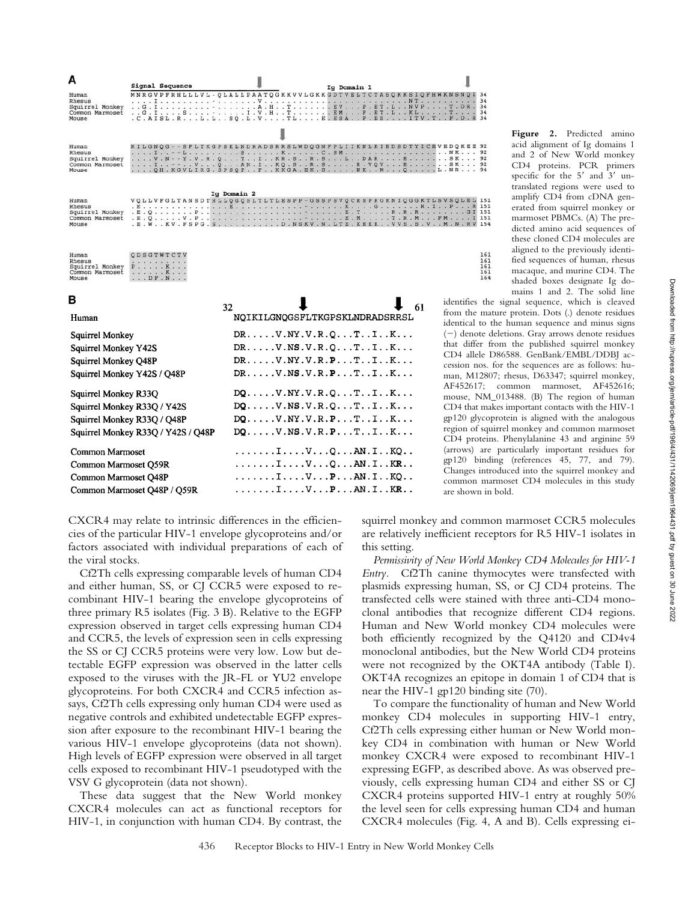| А                                                                                              |       | Signal Sequence                                                          |             | Ig Domain 1                                                                                                                                                                                                                                             |    |                                                              |
|------------------------------------------------------------------------------------------------|-------|--------------------------------------------------------------------------|-------------|---------------------------------------------------------------------------------------------------------------------------------------------------------------------------------------------------------------------------------------------------------|----|--------------------------------------------------------------|
| Human<br>Rhesus<br>Squirrel Monkey<br>Common Marmoset<br>Mouse                                 | . . G |                                                                          |             | MNRGVPFRHLLLVL - OLALLPAATOGKKVVLGKKGDTVELTCTASQKKSIQFHWKNSNQI<br>. I S - I . V . H T EM P . ET . L KL T<br>. C. AISL. R. L. L. . SQ. L. V. TL. E. ESA. . P. ES. ITV. T. . F. D. R                                                                      |    | $\cdot$ $\cdot$ $\cdot$                                      |
| Human<br>Rhesus<br>Squirrel Monkey<br>Common Marmoset<br>Mouse                                 |       |                                                                          |             | KILGNOG - - SFLTKGPSKLNDRADSRRSLWDOGNFPLIIKNLKIEDSDTYICEVEDOKEE<br>V. N - - Y . V. R . Q T I KR . S R . S L DAR E S K<br>I--VQAN.IKQ.SR.SR.VQVESK<br>QH. KGVLIRG. SPSQF. . F. . KKGA. EK. S NK. . M. Q L. NR.                                           |    |                                                              |
| Human<br>Rhesus<br>Squirrel Monkey<br>Common Marmoset<br>Mouse                                 |       |                                                                          | Ig Domain 2 | VQLLVFGLTANSDTHLLQGQSLTLTLESPP - GSSPSVQCRSPRGKNIQGGKTLSVSQLEL<br>.E.W. . KV. FSPG.S. D. NSKV. N. LTE. KHKK. . VVS. S. V. . M. N. RV                                                                                                                    |    |                                                              |
| Human<br>Rhesus<br>Squirrel Monkey<br>Common Marmoset<br>Mouse                                 |       | ODSGTWTCTV<br>.<br>$P$ , , , , , K, , ,<br>. K<br>$\ldots$ $DF$ $\ldots$ |             |                                                                                                                                                                                                                                                         |    |                                                              |
| в<br>Human                                                                                     |       |                                                                          | 32          | NOIKILGNOGSFLTKGPSKLNDRADSRRSL                                                                                                                                                                                                                          | 61 | identifies<br>from the<br>identical                          |
| Squirrel Monkey<br>Squirrel Monkey Y42S<br>Squirrel Monkey O48P<br>Squirrel Monkey Y42S / Q48P |       |                                                                          |             | $DR \ldots \ldots \ldots \text{NY} \ldotp \text{V} \ldotp \text{R} \ldotp \text{O} \ldots \text{T} \ldots \text{I} \ldots \text{K} \ldots$<br>$DR$ $V.NS.V.R.O.$ $T.I.I.K$<br>$DR$ $V.NY.V.R.P.$ $T.$ $K$<br>$DR \ldots$ . V. NS. V. R. P. T. . I. . K. |    | $(-)$ deno<br>that diff<br>$CD4$ alle<br>cession t<br>man. M |

 $DQ$ .... $V.NY.V.R.Q...T.I.I.K...$ 

 $DQ$ .... $V$ .NS.V.R.Q...T..I..K...

 $DQ$ ..... $V.NY.V.R.P. . . T. . I. . K...$ 

 $DQ$ ..... $V.NS.V.R.P. . . T. . I. . K...$ 

 $\ldots \ldots \ldots$   $\ldots$   $V \ldots Q \ldots AN \ldots KQ \ldots$ 

 $\ldots \ldots \ldots$   $\ldots$   $V \ldots Q \ldots AN \ldots KR \ldots$ 

 $\ldots \ldots \ldots$   $\ldots$   $V \ldots P \ldots AN \ldots KQ \ldots$ 

 $\ldots \ldots \ldots$   $\ldots$   $V \ldots P \ldots AN \ldots KR \ldots$ 

**Figure 2.** Predicted amino acid alignment of Ig domains 1 and 2 of New World monkey CD4 proteins. PCR primers specific for the 5' and 3' untranslated regions were used to amplify CD4 from cDNA generated from squirrel monkey or marmoset PBMCs. (A) The predicted amino acid sequences of these cloned CD4 molecules are aligned to the previously identified sequences of human, rhesus macaque, and murine CD4. The shaded boxes designate Ig domains 1 and 2. The solid line

is the signal sequence, which is cleaved mature protein. Dots (.) denote residues to the human sequence and minus signs ote deletions. Gray arrows denote residues fer from the published squirrel monkey ele D86588. GenBank/EMBL/DDBJ acnos. for the sequences are as follows: hu-12807; rhesus, D63347; squirrel monkey, AF452617; common marmoset, AF452616; mouse, NM\_013488. (B) The region of human CD4 that makes important contacts with the HIV-1 gp120 glycoprotein is aligned with the analogous region of squirrel monkey and common marmoset CD4 proteins. Phenylalanine 43 and arginine 59 (arrows) are particularly important residues for gp120 binding (references 45, 77, and 79). Changes introduced into the squirrel monkey and common marmoset CD4 molecules in this study are shown in bold.

CXCR4 may relate to intrinsic differences in the efficiencies of the particular HIV-1 envelope glycoproteins and/or factors associated with individual preparations of each of the viral stocks.

Squirrel Monkey R33Q

Common Marmoset

Common Marmoset Q59R Common Marmoset Q48P

Common Marmoset Q48P / Q59R

Squirrel Monkey R33Q / Y42S

Squirrel Monkey R33Q / Q48P

Squirrel Monkey R33Q / Y42S / Q48P

Cf2Th cells expressing comparable levels of human CD4 and either human, SS, or CJ CCR5 were exposed to recombinant HIV-1 bearing the envelope glycoproteins of three primary R5 isolates (Fig. 3 B). Relative to the EGFP expression observed in target cells expressing human CD4 and CCR5, the levels of expression seen in cells expressing the SS or CJ CCR5 proteins were very low. Low but detectable EGFP expression was observed in the latter cells exposed to the viruses with the JR-FL or YU2 envelope glycoproteins. For both CXCR4 and CCR5 infection assays, Cf2Th cells expressing only human CD4 were used as negative controls and exhibited undetectable EGFP expression after exposure to the recombinant HIV-1 bearing the various HIV-1 envelope glycoproteins (data not shown). High levels of EGFP expression were observed in all target cells exposed to recombinant HIV-1 pseudotyped with the VSV G glycoprotein (data not shown).

These data suggest that the New World monkey CXCR4 molecules can act as functional receptors for HIV-1, in conjunction with human CD4. By contrast, the squirrel monkey and common marmoset CCR5 molecules are relatively inefficient receptors for R5 HIV-1 isolates in this setting.

 $34$ <br> $34$ <br> $34$ <br> $34$ <br> $34$ 

92<br>92<br>92<br>92

 $151$ <br> $151$ <br> $151$ <br> $154$ 

161<br>161<br>161<br>161<br>164

*Permissivity of New World Monkey CD4 Molecules for HIV-1 Entry.* Cf2Th canine thymocytes were transfected with plasmids expressing human, SS, or CJ CD4 proteins. The transfected cells were stained with three anti-CD4 monoclonal antibodies that recognize different CD4 regions. Human and New World monkey CD4 molecules were both efficiently recognized by the Q4120 and CD4v4 monoclonal antibodies, but the New World CD4 proteins were not recognized by the OKT4A antibody (Table I). OKT4A recognizes an epitope in domain 1 of CD4 that is near the HIV-1 gp120 binding site (70).

To compare the functionality of human and New World monkey CD4 molecules in supporting HIV-1 entry, Cf2Th cells expressing either human or New World monkey CD4 in combination with human or New World monkey CXCR4 were exposed to recombinant HIV-1 expressing EGFP, as described above. As was observed previously, cells expressing human CD4 and either SS or CJ CXCR4 proteins supported HIV-1 entry at roughly 50% the level seen for cells expressing human CD4 and human CXCR4 molecules (Fig. 4, A and B). Cells expressing ei-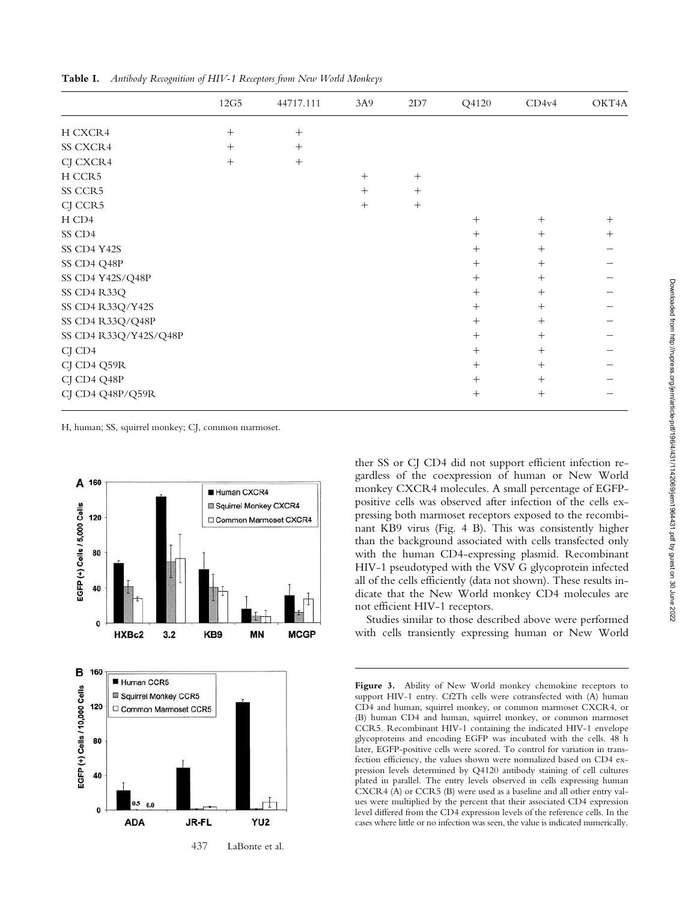|                       | 12G5   | 44717.111 | 3A9    | 2D7    | Q4120  | CD4v4  | OKT4A  |
|-----------------------|--------|-----------|--------|--------|--------|--------|--------|
| H CXCR4               | $^{+}$ | $^{+}$    |        |        |        |        |        |
| SS CXCR4              | $^{+}$ | $^{+}$    |        |        |        |        |        |
| CJ CXCR4              | $^{+}$ | $^{+}$    |        |        |        |        |        |
| H CCR5                |        |           | $^{+}$ | $^{+}$ |        |        |        |
| SS CCR5               |        |           | $^{+}$ | $^{+}$ |        |        |        |
| CJ CCR5               |        |           | $^{+}$ | $+$    |        |        |        |
| H CD4                 |        |           |        |        | $+$    | $+$    | $^{+}$ |
| SS CD4                |        |           |        |        | $^{+}$ | $+$    | $^{+}$ |
| SS CD4 Y42S           |        |           |        |        | $+$    | $+$    |        |
| SS CD4 Q48P           |        |           |        |        | $^{+}$ | $+$    |        |
| SS CD4 Y42S/Q48P      |        |           |        |        | $^{+}$ | $^{+}$ |        |
| SS CD4 R33Q           |        |           |        |        | $+$    | $+$    |        |
| SS CD4 R33Q/Y42S      |        |           |        |        | $^{+}$ | $+$    |        |
| SS CD4 R33Q/Q48P      |        |           |        |        | $^{+}$ | $^{+}$ |        |
| SS CD4 R33Q/Y42S/Q48P |        |           |        |        | $^{+}$ | $^{+}$ |        |
| CJ CD4                |        |           |        |        | $+$    | $+$    |        |
| CJ CD4 Q59R           |        |           |        |        | $^{+}$ | $^{+}$ |        |
| CJ CD4 Q48P           |        |           |        |        | $^{+}$ | $^{+}$ |        |
| CJ CD4 Q48P/Q59R      |        |           |        |        | $^{+}$ | $^{+}$ |        |

**Table I.** *Antibody Recognition of HIV-1 Receptors from New World Monkeys*

H, human; SS, squirrel monkey; CJ, common marmoset.



ther SS or CJ CD4 did not support efficient infection regardless of the coexpression of human or New World monkey CXCR4 molecules. A small percentage of EGFPpositive cells was observed after infection of the cells expressing both marmoset receptors exposed to the recombinant KB9 virus (Fig. 4 B). This was consistently higher than the background associated with cells transfected only with the human CD4-expressing plasmid. Recombinant HIV-1 pseudotyped with the VSV G glycoprotein infected all of the cells efficiently (data not shown). These results indicate that the New World monkey CD4 molecules are not efficient HIV-1 receptors.

Studies similar to those described above were performed with cells transiently expressing human or New World

**Figure 3.** Ability of New World monkey chemokine receptors to support HIV-1 entry. Cf2Th cells were cotransfected with (A) human CD4 and human, squirrel monkey, or common marmoset CXCR4, or (B) human CD4 and human, squirrel monkey, or common marmoset CCR5. Recombinant HIV-1 containing the indicated HIV-1 envelope glycoproteins and encoding EGFP was incubated with the cells. 48 h later, EGFP-positive cells were scored. To control for variation in transfection efficiency, the values shown were normalized based on CD4 expression levels determined by Q4120 antibody staining of cell cultures plated in parallel. The entry levels observed in cells expressing human CXCR4 (A) or CCR5 (B) were used as a baseline and all other entry values were multiplied by the percent that their associated CD4 expression level differed from the CD4 expression levels of the reference cells. In the cases where little or no infection was seen, the value is indicated numerically.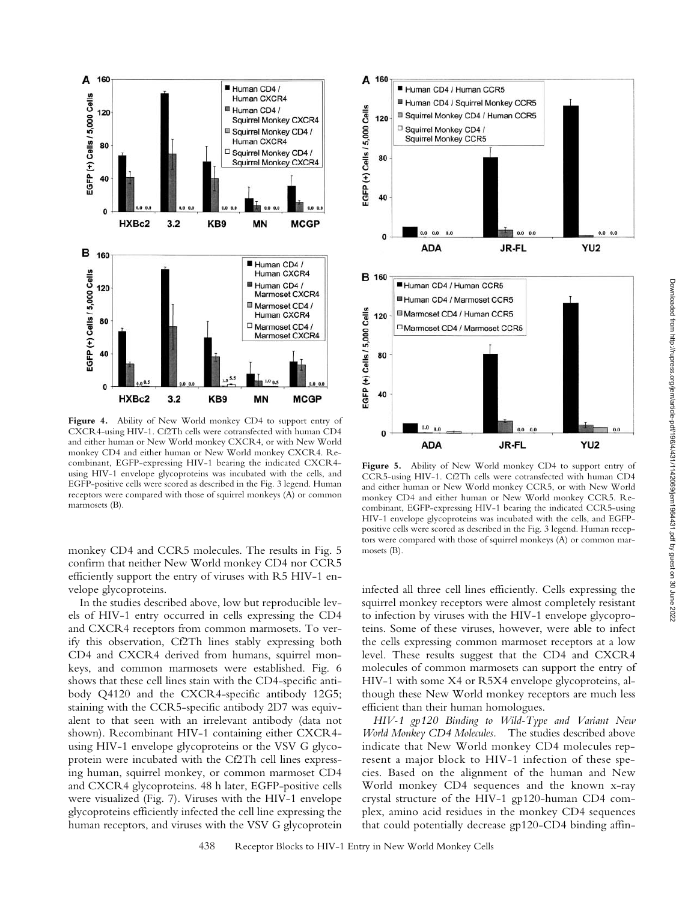

**Figure 4.** Ability of New World monkey CD4 to support entry of CXCR4-using HIV-1. Cf2Th cells were cotransfected with human CD4 and either human or New World monkey CXCR4, or with New World monkey CD4 and either human or New World monkey CXCR4. Recombinant, EGFP-expressing HIV-1 bearing the indicated CXCR4 using HIV-1 envelope glycoproteins was incubated with the cells, and EGFP-positive cells were scored as described in the Fig. 3 legend. Human receptors were compared with those of squirrel monkeys (A) or common marmosets (B).

monkey CD4 and CCR5 molecules. The results in Fig. 5 confirm that neither New World monkey CD4 nor CCR5 efficiently support the entry of viruses with R5 HIV-1 envelope glycoproteins.

In the studies described above, low but reproducible levels of HIV-1 entry occurred in cells expressing the CD4 and CXCR4 receptors from common marmosets. To verify this observation, Cf2Th lines stably expressing both CD4 and CXCR4 derived from humans, squirrel monkeys, and common marmosets were established. Fig. 6 shows that these cell lines stain with the CD4-specific antibody Q4120 and the CXCR4-specific antibody 12G5; staining with the CCR5-specific antibody 2D7 was equivalent to that seen with an irrelevant antibody (data not shown). Recombinant HIV-1 containing either CXCR4 using HIV-1 envelope glycoproteins or the VSV G glycoprotein were incubated with the Cf2Th cell lines expressing human, squirrel monkey, or common marmoset CD4 and CXCR4 glycoproteins. 48 h later, EGFP-positive cells were visualized (Fig. 7). Viruses with the HIV-1 envelope glycoproteins efficiently infected the cell line expressing the human receptors, and viruses with the VSV G glycoprotein



**Figure 5.** Ability of New World monkey CD4 to support entry of CCR5-using HIV-1. Cf2Th cells were cotransfected with human CD4 and either human or New World monkey CCR5, or with New World monkey CD4 and either human or New World monkey CCR5. Recombinant, EGFP-expressing HIV-1 bearing the indicated CCR5-using HIV-1 envelope glycoproteins was incubated with the cells, and EGFPpositive cells were scored as described in the Fig. 3 legend. Human receptors were compared with those of squirrel monkeys (A) or common marmosets (B).

infected all three cell lines efficiently. Cells expressing the squirrel monkey receptors were almost completely resistant to infection by viruses with the HIV-1 envelope glycoproteins. Some of these viruses, however, were able to infect the cells expressing common marmoset receptors at a low level. These results suggest that the CD4 and CXCR4 molecules of common marmosets can support the entry of HIV-1 with some X4 or R5X4 envelope glycoproteins, although these New World monkey receptors are much less efficient than their human homologues.

*HIV-1 gp120 Binding to Wild-Type and Variant New World Monkey CD4 Molecules.* The studies described above indicate that New World monkey CD4 molecules represent a major block to HIV-1 infection of these species. Based on the alignment of the human and New World monkey CD4 sequences and the known x-ray crystal structure of the HIV-1 gp120-human CD4 complex, amino acid residues in the monkey CD4 sequences that could potentially decrease gp120-CD4 binding affin-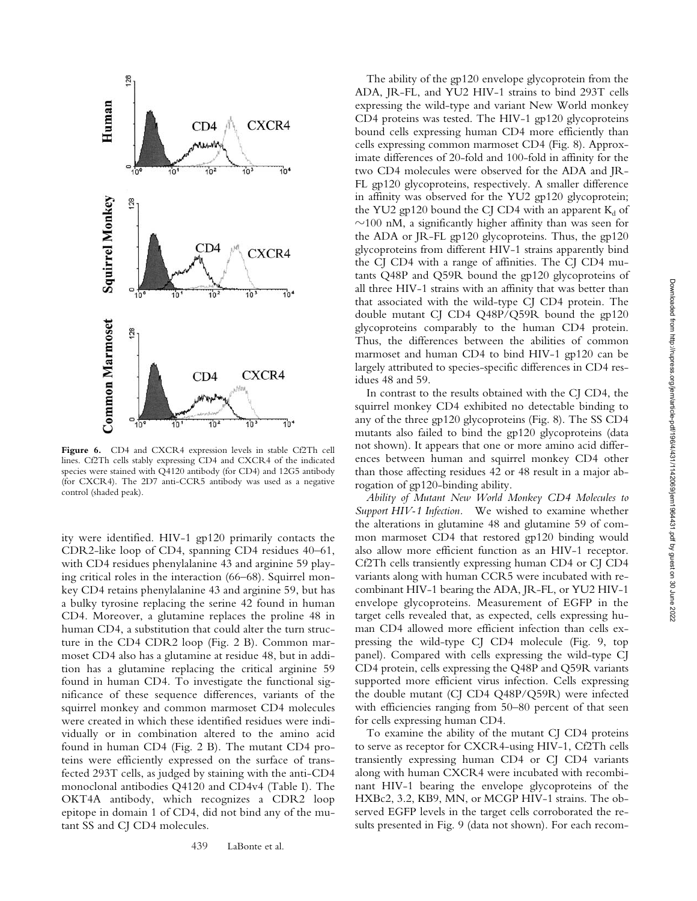

**Figure 6.** CD4 and CXCR4 expression levels in stable Cf2Th cell lines. Cf2Th cells stably expressing CD4 and CXCR4 of the indicated species were stained with Q4120 antibody (for CD4) and 12G5 antibody (for CXCR4). The 2D7 anti-CCR5 antibody was used as a negative control (shaded peak).

ity were identified. HIV-1 gp120 primarily contacts the CDR2-like loop of CD4, spanning CD4 residues 40–61, with CD4 residues phenylalanine 43 and arginine 59 playing critical roles in the interaction (66–68). Squirrel monkey CD4 retains phenylalanine 43 and arginine 59, but has a bulky tyrosine replacing the serine 42 found in human CD4. Moreover, a glutamine replaces the proline 48 in human CD4, a substitution that could alter the turn structure in the CD4 CDR2 loop (Fig. 2 B). Common marmoset CD4 also has a glutamine at residue 48, but in addition has a glutamine replacing the critical arginine 59 found in human CD4. To investigate the functional significance of these sequence differences, variants of the squirrel monkey and common marmoset CD4 molecules were created in which these identified residues were individually or in combination altered to the amino acid found in human CD4 (Fig. 2 B). The mutant CD4 proteins were efficiently expressed on the surface of transfected 293T cells, as judged by staining with the anti-CD4 monoclonal antibodies Q4120 and CD4v4 (Table I). The OKT4A antibody, which recognizes a CDR2 loop epitope in domain 1 of CD4, did not bind any of the mutant SS and CJ CD4 molecules.

The ability of the gp120 envelope glycoprotein from the ADA, JR-FL, and YU2 HIV-1 strains to bind 293T cells expressing the wild-type and variant New World monkey CD4 proteins was tested. The HIV-1 gp120 glycoproteins bound cells expressing human CD4 more efficiently than cells expressing common marmoset CD4 (Fig. 8). Approximate differences of 20-fold and 100-fold in affinity for the two CD4 molecules were observed for the ADA and JR-FL gp120 glycoproteins, respectively. A smaller difference in affinity was observed for the YU2 gp120 glycoprotein; the YU2 gp120 bound the CJ CD4 with an apparent  $K_d$  of  $\sim$ 100 nM, a significantly higher affinity than was seen for the ADA or JR-FL gp120 glycoproteins. Thus, the gp120 glycoproteins from different HIV-1 strains apparently bind the CJ CD4 with a range of affinities. The CJ CD4 mutants Q48P and Q59R bound the gp120 glycoproteins of all three HIV-1 strains with an affinity that was better than that associated with the wild-type CJ CD4 protein. The double mutant CJ CD4 Q48P/Q59R bound the gp120 glycoproteins comparably to the human CD4 protein. Thus, the differences between the abilities of common marmoset and human CD4 to bind HIV-1 gp120 can be largely attributed to species-specific differences in CD4 residues 48 and 59.

In contrast to the results obtained with the CJ CD4, the squirrel monkey CD4 exhibited no detectable binding to any of the three gp120 glycoproteins (Fig. 8). The SS CD4 mutants also failed to bind the gp120 glycoproteins (data not shown). It appears that one or more amino acid differences between human and squirrel monkey CD4 other than those affecting residues 42 or 48 result in a major abrogation of gp120-binding ability.

*Ability of Mutant New World Monkey CD4 Molecules to Support HIV-1 Infection.* We wished to examine whether the alterations in glutamine 48 and glutamine 59 of common marmoset CD4 that restored gp120 binding would also allow more efficient function as an HIV-1 receptor. Cf2Th cells transiently expressing human CD4 or CJ CD4 variants along with human CCR5 were incubated with recombinant HIV-1 bearing the ADA, JR-FL, or YU2 HIV-1 envelope glycoproteins. Measurement of EGFP in the target cells revealed that, as expected, cells expressing human CD4 allowed more efficient infection than cells expressing the wild-type CJ CD4 molecule (Fig. 9, top panel). Compared with cells expressing the wild-type CJ CD4 protein, cells expressing the Q48P and Q59R variants supported more efficient virus infection. Cells expressing the double mutant (CJ CD4 Q48P/Q59R) were infected with efficiencies ranging from 50–80 percent of that seen for cells expressing human CD4.

To examine the ability of the mutant CJ CD4 proteins to serve as receptor for CXCR4-using HIV-1, Cf2Th cells transiently expressing human CD4 or CJ CD4 variants along with human CXCR4 were incubated with recombinant HIV-1 bearing the envelope glycoproteins of the HXBc2, 3.2, KB9, MN, or MCGP HIV-1 strains. The observed EGFP levels in the target cells corroborated the results presented in Fig. 9 (data not shown). For each recom-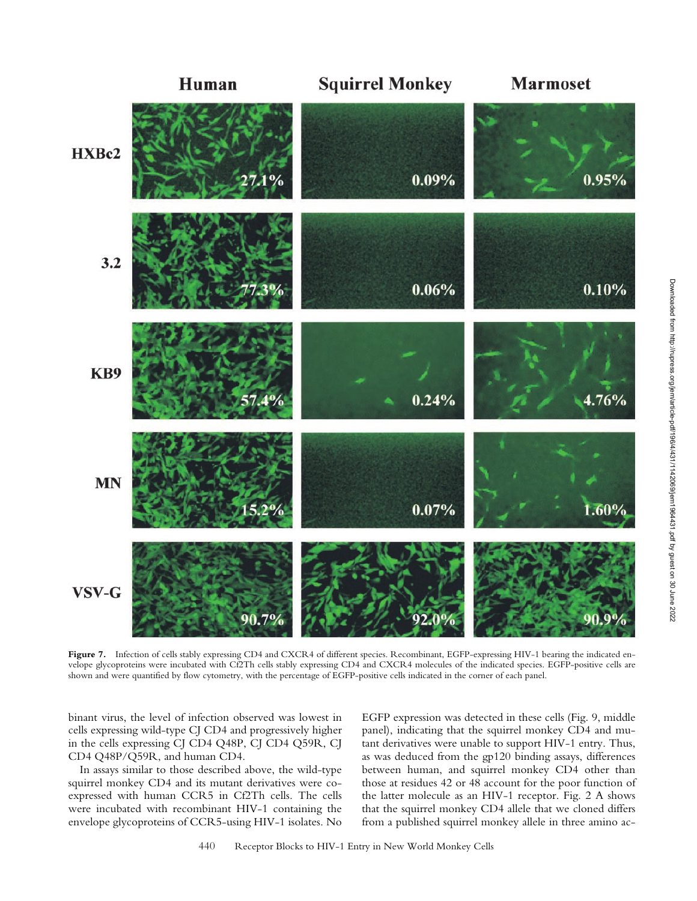

Figure 7. Infection of cells stably expressing CD4 and CXCR4 of different species. Recombinant, EGFP-expressing HIV-1 bearing the indicated envelope glycoproteins were incubated with Cf2Th cells stably expressing CD4 and CXCR4 molecules of the indicated species. EGFP-positive cells are shown and were quantified by flow cytometry, with the percentage of EGFP-positive cells indicated in the corner of each panel.

binant virus, the level of infection observed was lowest in cells expressing wild-type CJ CD4 and progressively higher in the cells expressing CJ CD4 Q48P, CJ CD4 Q59R, CJ CD4 Q48P/Q59R, and human CD4.

In assays similar to those described above, the wild-type squirrel monkey CD4 and its mutant derivatives were coexpressed with human CCR5 in Cf2Th cells. The cells were incubated with recombinant HIV-1 containing the envelope glycoproteins of CCR5-using HIV-1 isolates. No EGFP expression was detected in these cells (Fig. 9, middle panel), indicating that the squirrel monkey CD4 and mutant derivatives were unable to support HIV-1 entry. Thus, as was deduced from the gp120 binding assays, differences between human, and squirrel monkey CD4 other than those at residues 42 or 48 account for the poor function of the latter molecule as an HIV-1 receptor. Fig. 2 A shows that the squirrel monkey CD4 allele that we cloned differs from a published squirrel monkey allele in three amino ac-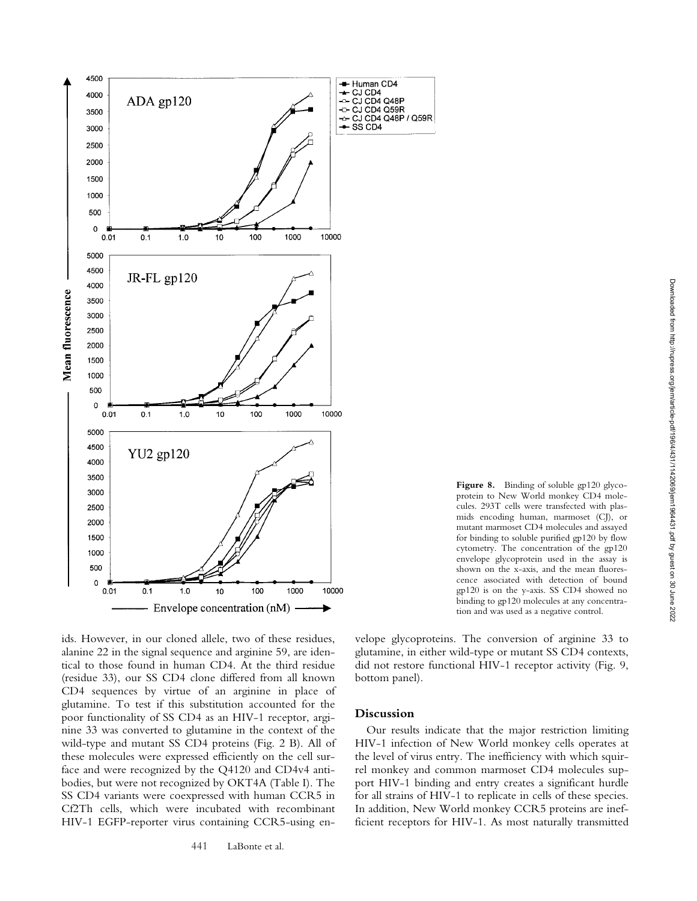

**Figure 8.** Binding of soluble gp120 glycoprotein to New World monkey CD4 molecules. 293T cells were transfected with plasmids encoding human, marmoset (CJ), or mutant marmoset CD4 molecules and assayed for binding to soluble purified gp120 by flow cytometry. The concentration of the gp120 envelope glycoprotein used in the assay is shown on the x-axis, and the mean fluorescence associated with detection of bound gp120 is on the y-axis. SS CD4 showed no binding to gp120 molecules at any concentration and was used as a negative control.

ids. However, in our cloned allele, two of these residues, alanine 22 in the signal sequence and arginine 59, are identical to those found in human CD4. At the third residue (residue 33), our SS CD4 clone differed from all known CD4 sequences by virtue of an arginine in place of glutamine. To test if this substitution accounted for the poor functionality of SS CD4 as an HIV-1 receptor, arginine 33 was converted to glutamine in the context of the wild-type and mutant SS CD4 proteins (Fig. 2 B). All of these molecules were expressed efficiently on the cell surface and were recognized by the Q4120 and CD4v4 antibodies, but were not recognized by OKT4A (Table I). The SS CD4 variants were coexpressed with human CCR5 in Cf2Th cells, which were incubated with recombinant HIV-1 EGFP-reporter virus containing CCR5-using en-

velope glycoproteins. The conversion of arginine 33 to glutamine, in either wild-type or mutant SS CD4 contexts, did not restore functional HIV-1 receptor activity (Fig. 9, bottom panel).

# **Discussion**

Our results indicate that the major restriction limiting HIV-1 infection of New World monkey cells operates at the level of virus entry. The inefficiency with which squirrel monkey and common marmoset CD4 molecules support HIV-1 binding and entry creates a significant hurdle for all strains of HIV-1 to replicate in cells of these species. In addition, New World monkey CCR5 proteins are inefficient receptors for HIV-1. As most naturally transmitted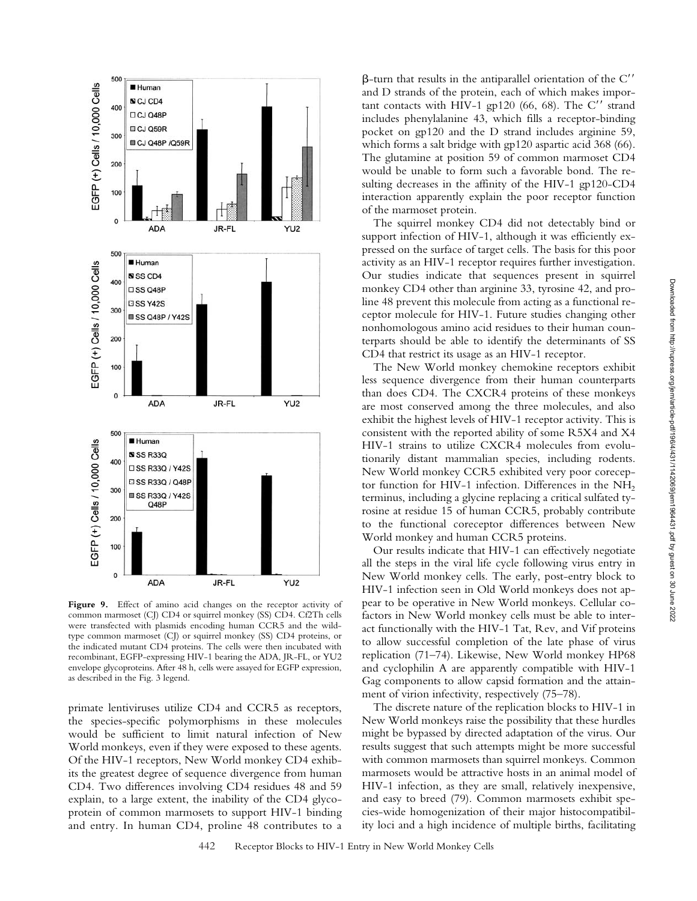

Figure 9. Effect of amino acid changes on the receptor activity of common marmoset (CJ) CD4 or squirrel monkey (SS) CD4. Cf2Th cells were transfected with plasmids encoding human CCR5 and the wildtype common marmoset (CJ) or squirrel monkey (SS) CD4 proteins, or the indicated mutant CD4 proteins. The cells were then incubated with recombinant, EGFP-expressing HIV-1 bearing the ADA, JR-FL, or YU2 envelope glycoproteins. After 48 h, cells were assayed for EGFP expression, as described in the Fig. 3 legend.

primate lentiviruses utilize CD4 and CCR5 as receptors, the species-specific polymorphisms in these molecules would be sufficient to limit natural infection of New World monkeys, even if they were exposed to these agents. Of the HIV-1 receptors, New World monkey CD4 exhibits the greatest degree of sequence divergence from human CD4. Two differences involving CD4 residues 48 and 59 explain, to a large extent, the inability of the CD4 glycoprotein of common marmosets to support HIV-1 binding and entry. In human CD4, proline 48 contributes to a

 $\beta$ -turn that results in the antiparallel orientation of the C'' and D strands of the protein, each of which makes important contacts with HIV-1 gp120 (66, 68). The  $C''$  strand includes phenylalanine 43, which fills a receptor-binding pocket on gp120 and the D strand includes arginine 59, which forms a salt bridge with gp120 aspartic acid 368 (66). The glutamine at position 59 of common marmoset CD4 would be unable to form such a favorable bond. The resulting decreases in the affinity of the HIV-1 gp120-CD4 interaction apparently explain the poor receptor function of the marmoset protein.

The squirrel monkey CD4 did not detectably bind or support infection of HIV-1, although it was efficiently expressed on the surface of target cells. The basis for this poor activity as an HIV-1 receptor requires further investigation. Our studies indicate that sequences present in squirrel monkey CD4 other than arginine 33, tyrosine 42, and proline 48 prevent this molecule from acting as a functional receptor molecule for HIV-1. Future studies changing other nonhomologous amino acid residues to their human counterparts should be able to identify the determinants of SS CD4 that restrict its usage as an HIV-1 receptor.

The New World monkey chemokine receptors exhibit less sequence divergence from their human counterparts than does CD4. The CXCR4 proteins of these monkeys are most conserved among the three molecules, and also exhibit the highest levels of HIV-1 receptor activity. This is consistent with the reported ability of some R5X4 and X4 HIV-1 strains to utilize CXCR4 molecules from evolutionarily distant mammalian species, including rodents. New World monkey CCR5 exhibited very poor coreceptor function for HIV-1 infection. Differences in the  $NH<sub>2</sub>$ terminus, including a glycine replacing a critical sulfated tyrosine at residue 15 of human CCR5, probably contribute to the functional coreceptor differences between New World monkey and human CCR5 proteins.

Our results indicate that HIV-1 can effectively negotiate all the steps in the viral life cycle following virus entry in New World monkey cells. The early, post-entry block to HIV-1 infection seen in Old World monkeys does not appear to be operative in New World monkeys. Cellular cofactors in New World monkey cells must be able to interact functionally with the HIV-1 Tat, Rev, and Vif proteins to allow successful completion of the late phase of virus replication (71–74). Likewise, New World monkey HP68 and cyclophilin A are apparently compatible with HIV-1 Gag components to allow capsid formation and the attainment of virion infectivity, respectively (75–78).

The discrete nature of the replication blocks to HIV-1 in New World monkeys raise the possibility that these hurdles might be bypassed by directed adaptation of the virus. Our results suggest that such attempts might be more successful with common marmosets than squirrel monkeys. Common marmosets would be attractive hosts in an animal model of HIV-1 infection, as they are small, relatively inexpensive, and easy to breed (79). Common marmosets exhibit species-wide homogenization of their major histocompatibility loci and a high incidence of multiple births, facilitating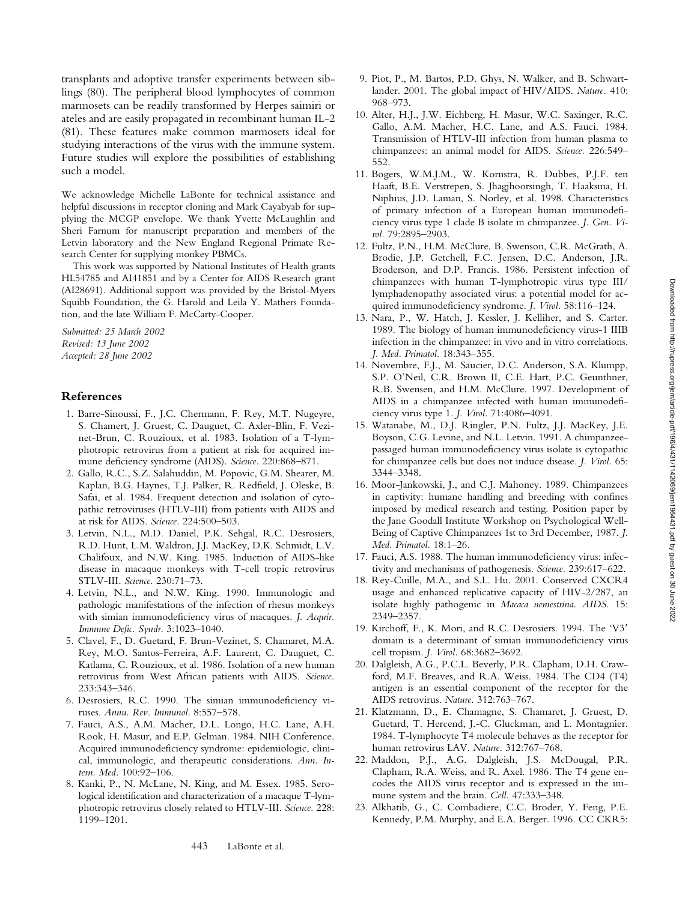transplants and adoptive transfer experiments between siblings (80). The peripheral blood lymphocytes of common marmosets can be readily transformed by Herpes saimiri or ateles and are easily propagated in recombinant human IL-2 (81). These features make common marmosets ideal for studying interactions of the virus with the immune system. Future studies will explore the possibilities of establishing such a model.

We acknowledge Michelle LaBonte for technical assistance and helpful discussions in receptor cloning and Mark Cayabyab for supplying the MCGP envelope. We thank Yvette McLaughlin and Sheri Farnum for manuscript preparation and members of the Letvin laboratory and the New England Regional Primate Research Center for supplying monkey PBMCs.

This work was supported by National Institutes of Health grants HL54785 and AI41851 and by a Center for AIDS Research grant (AI28691). Additional support was provided by the Bristol-Myers Squibb Foundation, the G. Harold and Leila Y. Mathers Foundation, and the late William F. McCarty-Cooper.

*Submitted: 25 March 2002 Revised: 13 June 2002 Accepted: 28 June 2002*

## **References**

- 1. Barre-Sinoussi, F., J.C. Chermann, F. Rey, M.T. Nugeyre, S. Chamert, J. Gruest, C. Dauguet, C. Axler-Blin, F. Vezinet-Brun, C. Rouzioux, et al. 1983. Isolation of a T-lymphotropic retrovirus from a patient at risk for acquired immune deficiency syndrome (AIDS). *Science.* 220:868–871.
- 2. Gallo, R.C., S.Z. Salahuddin, M. Popovic, G.M. Shearer, M. Kaplan, B.G. Haynes, T.J. Palker, R. Redfield, J. Oleske, B. Safai, et al. 1984. Frequent detection and isolation of cytopathic retroviruses (HTLV-III) from patients with AIDS and at risk for AIDS. *Science.* 224:500–503.
- 3. Letvin, N.L., M.D. Daniel, P.K. Sehgal, R.C. Desrosiers, R.D. Hunt, L.M. Waldron, J.J. MacKey, D.K. Schmidt, L.V. Chalifoux, and N.W. King. 1985. Induction of AIDS-like disease in macaque monkeys with T-cell tropic retrovirus STLV-III. *Science.* 230:71–73.
- 4. Letvin, N.L., and N.W. King. 1990. Immunologic and pathologic manifestations of the infection of rhesus monkeys with simian immunodeficiency virus of macaques. *J. Acquir. Immune Defic. Syndr.* 3:1023–1040.
- 5. Clavel, F., D. Guetard, F. Brun-Vezinet, S. Chamaret, M.A. Rey, M.O. Santos-Ferreira, A.F. Laurent, C. Dauguet, C. Katlama, C. Rouzioux, et al. 1986. Isolation of a new human retrovirus from West African patients with AIDS. *Science.* 233:343–346.
- 6. Desrosiers, R.C. 1990. The simian immunodeficiency viruses. *Annu. Rev. Immunol.* 8:557–578.
- 7. Fauci, A.S., A.M. Macher, D.L. Longo, H.C. Lane, A.H. Rook, H. Masur, and E.P. Gelman. 1984. NIH Conference. Acquired immunodeficiency syndrome: epidemiologic, clinical, immunologic, and therapeutic considerations. *Ann. Intern. Med.* 100:92–106.
- 8. Kanki, P., N. McLane, N. King, and M. Essex. 1985. Serological identification and characterization of a macaque T-lymphotropic retrovirus closely related to HTLV-III. *Science.* 228: 1199–1201.
- 9. Piot, P., M. Bartos, P.D. Ghys, N. Walker, and B. Schwartlander. 2001. The global impact of HIV/AIDS. *Nature.* 410: 968–973.
- 10. Alter, H.J., J.W. Eichberg, H. Masur, W.C. Saxinger, R.C. Gallo, A.M. Macher, H.C. Lane, and A.S. Fauci. 1984. Transmission of HTLV-III infection from human plasma to chimpanzees: an animal model for AIDS. *Science.* 226:549– 552.
- 11. Bogers, W.M.J.M., W. Kornstra, R. Dubbes, P.J.F. ten Haaft, B.E. Verstrepen, S. Jhagjhoorsingh, T. Haaksma, H. Niphius, J.D. Laman, S. Norley, et al. 1998. Characteristics of primary infection of a European human immunodeficiency virus type 1 clade B isolate in chimpanzee. *J. Gen. Virol.* 79:2895–2903.
- 12. Fultz, P.N., H.M. McClure, B. Swenson, C.R. McGrath, A. Brodie, J.P. Getchell, F.C. Jensen, D.C. Anderson, J.R. Broderson, and D.P. Francis. 1986. Persistent infection of chimpanzees with human T-lymphotropic virus type III/ lymphadenopathy associated virus: a potential model for acquired immunodeficiency syndrome. *J. Virol.* 58:116–124.
- 13. Nara, P., W. Hatch, J. Kessler, J. Kelliher, and S. Carter. 1989. The biology of human immunodeficiency virus-1 IIIB infection in the chimpanzee: in vivo and in vitro correlations. *J. Med. Primatol.* 18:343–355.
- 14. Novembre, F.J., M. Saucier, D.C. Anderson, S.A. Klumpp, S.P. O'Neil, C.R. Brown II, C.E. Hart, P.C. Geunthner, R.B. Swensen, and H.M. McClure. 1997. Development of AIDS in a chimpanzee infected with human immunodeficiency virus type 1. *J. Virol.* 71:4086–4091.
- 15. Watanabe, M., D.J. Ringler, P.N. Fultz, J.J. MacKey, J.E. Boyson, C.G. Levine, and N.L. Letvin. 1991. A chimpanzeepassaged human immunodeficiency virus isolate is cytopathic for chimpanzee cells but does not induce disease. *J. Virol.* 65: 3344–3348.
- 16. Moor-Jankowski, J., and C.J. Mahoney. 1989. Chimpanzees in captivity: humane handling and breeding with confines imposed by medical research and testing. Position paper by the Jane Goodall Institute Workshop on Psychological Well-Being of Captive Chimpanzees 1st to 3rd December, 1987. *J. Med. Primatol.* 18:1–26.
- 17. Fauci, A.S. 1988. The human immunodeficiency virus: infectivity and mechanisms of pathogenesis. *Science.* 239:617–622.
- 18. Rey-Cuille, M.A., and S.L. Hu. 2001. Conserved CXCR4 usage and enhanced replicative capacity of HIV-2/287, an isolate highly pathogenic in *Macaca nemestrina*. *AIDS.* 15: 2349–2357.
- 19. Kirchoff, F., K. Mori, and R.C. Desrosiers. 1994. The 'V3 domain is a determinant of simian immunodeficiency virus cell tropism. *J. Virol.* 68:3682–3692.
- 20. Dalgleish, A.G., P.C.L. Beverly, P.R. Clapham, D.H. Crawford, M.F. Breaves, and R.A. Weiss. 1984. The CD4 (T4) antigen is an essential component of the receptor for the AIDS retrovirus. *Nature.* 312:763–767.
- 21. Klatzmann, D., E. Chamagne, S. Chamaret, J. Gruest, D. Guetard, T. Hercend, J.-C. Gluckman, and L. Montagnier. 1984. T-lymphocyte T4 molecule behaves as the receptor for human retrovirus LAV. *Nature.* 312:767–768.
- 22. Maddon, P.J., A.G. Dalgleish, J.S. McDougal, P.R. Clapham, R.A. Weiss, and R. Axel. 1986. The T4 gene encodes the AIDS virus receptor and is expressed in the immune system and the brain. *Cell.* 47:333–348.
- 23. Alkhatib, G., C. Combadiere, C.C. Broder, Y. Feng, P.E. Kennedy, P.M. Murphy, and E.A. Berger. 1996. CC CKR5: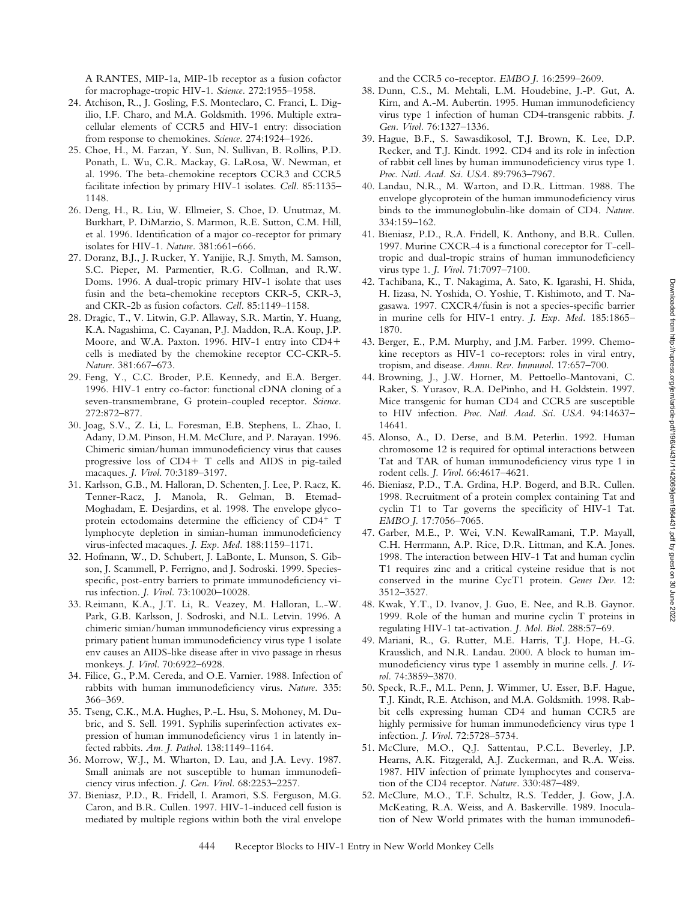A RANTES, MIP-1a, MIP-1b receptor as a fusion cofactor for macrophage-tropic HIV-1. *Science.* 272:1955–1958.

- 24. Atchison, R., J. Gosling, F.S. Monteclaro, C. Franci, L. Digilio, I.F. Charo, and M.A. Goldsmith. 1996. Multiple extracellular elements of CCR5 and HIV-1 entry: dissociation from response to chemokines. *Science.* 274:1924–1926.
- 25. Choe, H., M. Farzan, Y. Sun, N. Sullivan, B. Rollins, P.D. Ponath, L. Wu, C.R. Mackay, G. LaRosa, W. Newman, et al. 1996. The beta-chemokine receptors CCR3 and CCR5 facilitate infection by primary HIV-1 isolates. *Cell.* 85:1135– 1148.
- 26. Deng, H., R. Liu, W. Ellmeier, S. Choe, D. Unutmaz, M. Burkhart, P. DiMarzio, S. Marmon, R.E. Sutton, C.M. Hill, et al. 1996. Identification of a major co-receptor for primary isolates for HIV-1. *Nature.* 381:661–666.
- 27. Doranz, B.J., J. Rucker, Y. Yanijie, R.J. Smyth, M. Samson, S.C. Pieper, M. Parmentier, R.G. Collman, and R.W. Doms. 1996. A dual-tropic primary HIV-1 isolate that uses fusin and the beta-chemokine receptors CKR-5, CKR-3, and CKR-2b as fusion cofactors. *Cell.* 85:1149–1158.
- 28. Dragic, T., V. Litwin, G.P. Allaway, S.R. Martin, Y. Huang, K.A. Nagashima, C. Cayanan, P.J. Maddon, R.A. Koup, J.P. Moore, and W.A. Paxton. 1996. HIV-1 entry into CD4 cells is mediated by the chemokine receptor CC-CKR-5. *Nature.* 381:667–673.
- 29. Feng, Y., C.C. Broder, P.E. Kennedy, and E.A. Berger. 1996. HIV-1 entry co-factor: functional cDNA cloning of a seven-transmembrane, G protein-coupled receptor. *Science.* 272:872–877.
- 30. Joag, S.V., Z. Li, L. Foresman, E.B. Stephens, L. Zhao, I. Adany, D.M. Pinson, H.M. McClure, and P. Narayan. 1996. Chimeric simian/human immunodeficiency virus that causes progressive loss of  $CD4+T$  cells and AIDS in pig-tailed macaques. *J. Virol*. 70:3189–3197.
- 31. Karlsson, G.B., M. Halloran, D. Schenten, J. Lee, P. Racz, K. Tenner-Racz, J. Manola, R. Gelman, B. Etemad-Moghadam, E. Desjardins, et al. 1998. The envelope glycoprotein ectodomains determine the efficiency of  $CD4^+$  T lymphocyte depletion in simian-human immunodeficiency virus-infected macaques. *J. Exp. Med.* 188:1159–1171.
- 32. Hofmann, W., D. Schubert, J. LaBonte, L. Munson, S. Gibson, J. Scammell, P. Ferrigno, and J. Sodroski. 1999. Speciesspecific, post-entry barriers to primate immunodeficiency virus infection. *J. Virol.* 73:10020–10028.
- 33. Reimann, K.A., J.T. Li, R. Veazey, M. Halloran, L.-W. Park, G.B. Karlsson, J. Sodroski, and N.L. Letvin. 1996. A chimeric simian/human immunodeficiency virus expressing a primary patient human immunodeficiency virus type 1 isolate env causes an AIDS-like disease after in vivo passage in rhesus monkeys. *J. Virol*. 70:6922–6928.
- 34. Filice, G., P.M. Cereda, and O.E. Varnier. 1988. Infection of rabbits with human immunodeficiency virus. *Nature.* 335: 366–369.
- 35. Tseng, C.K., M.A. Hughes, P.-L. Hsu, S. Mohoney, M. Dubric, and S. Sell. 1991. Syphilis superinfection activates expression of human immunodeficiency virus 1 in latently infected rabbits. *Am. J. Pathol.* 138:1149–1164.
- 36. Morrow, W.J., M. Wharton, D. Lau, and J.A. Levy. 1987. Small animals are not susceptible to human immunodeficiency virus infection. *J. Gen. Virol.* 68:2253–2257.
- 37. Bieniasz, P.D., R. Fridell, I. Aramori, S.S. Ferguson, M.G. Caron, and B.R. Cullen. 1997. HIV-1-induced cell fusion is mediated by multiple regions within both the viral envelope

and the CCR5 co-receptor. *EMBO J.* 16:2599–2609.

- 38. Dunn, C.S., M. Mehtali, L.M. Houdebine, J.-P. Gut, A. Kirn, and A.-M. Aubertin. 1995. Human immunodeficiency virus type 1 infection of human CD4-transgenic rabbits. *J. Gen. Virol.* 76:1327–1336.
- 39. Hague, B.F., S. Sawasdikosol, T.J. Brown, K. Lee, D.P. Recker, and T.J. Kindt. 1992. CD4 and its role in infection of rabbit cell lines by human immunodeficiency virus type 1. *Proc. Natl. Acad. Sci. USA.* 89:7963–7967.
- 40. Landau, N.R., M. Warton, and D.R. Littman. 1988. The envelope glycoprotein of the human immunodeficiency virus binds to the immunoglobulin-like domain of CD4. *Nature.* 334:159–162.
- 41. Bieniasz, P.D., R.A. Fridell, K. Anthony, and B.R. Cullen. 1997. Murine CXCR-4 is a functional coreceptor for T-celltropic and dual-tropic strains of human immunodeficiency virus type 1. *J. Virol.* 71:7097–7100.
- 42. Tachibana, K., T. Nakagima, A. Sato, K. Igarashi, H. Shida, H. Iizasa, N. Yoshida, O. Yoshie, T. Kishimoto, and T. Nagasawa. 1997. CXCR4/fusin is not a species-specific barrier in murine cells for HIV-1 entry. *J. Exp. Med.* 185:1865– 1870.
- 43. Berger, E., P.M. Murphy, and J.M. Farber. 1999. Chemokine receptors as HIV-1 co-receptors: roles in viral entry, tropism, and disease. *Annu. Rev. Immunol.* 17:657–700.
- 44. Browning, J., J.W. Horner, M. Pettoello-Mantovani, C. Raker, S. Yurasov, R.A. DePinho, and H. Goldstein. 1997. Mice transgenic for human CD4 and CCR5 are susceptible to HIV infection. *Proc. Natl. Acad. Sci. USA.* 94:14637– 14641.
- 45. Alonso, A., D. Derse, and B.M. Peterlin. 1992. Human chromosome 12 is required for optimal interactions between Tat and TAR of human immunodeficiency virus type 1 in rodent cells. *J. Virol.* 66:4617–4621.
- 46. Bieniasz, P.D., T.A. Grdina, H.P. Bogerd, and B.R. Cullen. 1998. Recruitment of a protein complex containing Tat and cyclin T1 to Tar governs the specificity of HIV-1 Tat. *EMBO J.* 17:7056–7065.
- 47. Garber, M.E., P. Wei, V.N. KewalRamani, T.P. Mayall, C.H. Herrmann, A.P. Rice, D.R. Littman, and K.A. Jones. 1998. The interaction between HIV-1 Tat and human cyclin T1 requires zinc and a critical cysteine residue that is not conserved in the murine CycT1 protein. *Genes Dev*. 12: 3512–3527.
- 48. Kwak, Y.T., D. Ivanov, J. Guo, E. Nee, and R.B. Gaynor. 1999. Role of the human and murine cyclin T proteins in regulating HIV-1 tat-activation. *J. Mol. Biol.* 288:57–69.
- 49. Mariani, R., G. Rutter, M.E. Harris, T.J. Hope, H.-G. Krausslich, and N.R. Landau. 2000. A block to human immunodeficiency virus type 1 assembly in murine cells. *J. Virol.* 74:3859–3870.
- 50. Speck, R.F., M.L. Penn, J. Wimmer, U. Esser, B.F. Hague, T.J. Kindt, R.E. Atchison, and M.A. Goldsmith. 1998. Rabbit cells expressing human CD4 and human CCR5 are highly permissive for human immunodeficiency virus type 1 infection. *J. Virol.* 72:5728–5734.
- 51. McClure, M.O., Q.J. Sattentau, P.C.L. Beverley, J.P. Hearns, A.K. Fitzgerald, A.J. Zuckerman, and R.A. Weiss. 1987. HIV infection of primate lymphocytes and conservation of the CD4 receptor. *Nature.* 330:487–489.
- 52. McClure, M.O., T.F. Schultz, R.S. Tedder, J. Gow, J.A. McKeating, R.A. Weiss, and A. Baskerville. 1989. Inoculation of New World primates with the human immunodefi-